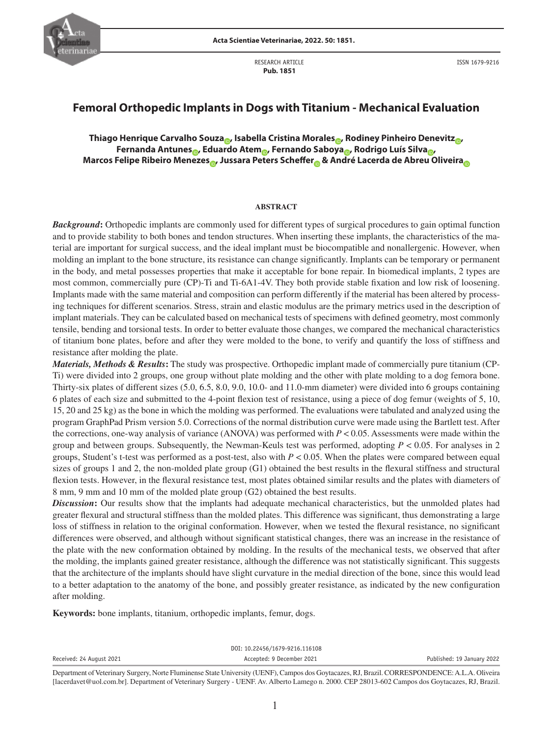

RESEARCH ARTICLE  **Pub. 1851**

ISSN 1679-9216

# **Femoral Orthopedic Implants in Dogs with Titanium - Mechanical Evaluation**

## **Thiago Henrique Carvalho Souza [,](https://orcid.org/0000-0001-7849-9188)** Isabella Cristina Morales **,** Rodiney Pinheiro Denevitz **Fernanda Antunes [,](https://orcid.org/0000-0002-2885-9322) Edu[ard](https://orcid.org/0000-0002-2889-8938)o Atem , Fernando Sab[oya](https://orcid.org/0000-0003-3914-1815) , Rodrigo Luís Silva , Marcos Felipe Ribeiro Meneze[s](https://orcid.org/0000-0003-4421-4687) , Jussara P[ete](https://orcid.org/0000-0001-8141-7518)rs Scheffe[r &](https://orcid.org/0000-0003-3939-234X) An[dré](https://orcid.org/0000-0001-9063-5090) Lacerda de Abre[u O](https://orcid.org/0000-0002-8911-2599)liveir[a](http://orcid.org/0000-0003-0530-0785)**

#### **ABSTRACT**

*Background***:** Orthopedic implants are commonly used for different types of surgical procedures to gain optimal function and to provide stability to both bones and tendon structures. When inserting these implants, the characteristics of the material are important for surgical success, and the ideal implant must be biocompatible and nonallergenic. However, when molding an implant to the bone structure, its resistance can change significantly. Implants can be temporary or permanent in the body, and metal possesses properties that make it acceptable for bone repair. In biomedical implants, 2 types are most common, commercially pure (CP)-Ti and Ti-6A1-4V. They both provide stable fixation and low risk of loosening. Implants made with the same material and composition can perform differently if the material has been altered by processing techniques for different scenarios. Stress, strain and elastic modulus are the primary metrics used in the description of implant materials. They can be calculated based on mechanical tests of specimens with defined geometry, most commonly tensile, bending and torsional tests. In order to better evaluate those changes, we compared the mechanical characteristics of titanium bone plates, before and after they were molded to the bone, to verify and quantify the loss of stiffness and resistance after molding the plate.

*Materials, Methods & Results***:** The study was prospective. Orthopedic implant made of commercially pure titanium (CP-Ti) were divided into 2 groups, one group without plate molding and the other with plate molding to a dog femora bone. Thirty-six plates of different sizes (5.0, 6.5, 8.0, 9.0, 10.0- and 11.0-mm diameter) were divided into 6 groups containing 6 plates of each size and submitted to the 4-point flexion test of resistance, using a piece of dog femur (weights of 5, 10, 15, 20 and 25 kg) as the bone in which the molding was performed. The evaluations were tabulated and analyzed using the program GraphPad Prism version 5.0. Corrections of the normal distribution curve were made using the Bartlett test. After the corrections, one-way analysis of variance (ANOVA) was performed with  $P < 0.05$ . Assessments were made within the group and between groups. Subsequently, the Newman-Keuls test was performed, adopting *P* < 0.05. For analyses in 2 groups, Student's t-test was performed as a post-test, also with  $P < 0.05$ . When the plates were compared between equal sizes of groups 1 and 2, the non-molded plate group (G1) obtained the best results in the flexural stiffness and structural flexion tests. However, in the flexural resistance test, most plates obtained similar results and the plates with diameters of 8 mm, 9 mm and 10 mm of the molded plate group (G2) obtained the best results.

*Discussion*: Our results show that the implants had adequate mechanical characteristics, but the unmolded plates had greater flexural and structural stiffness than the molded plates. This difference was significant, thus demonstrating a large loss of stiffness in relation to the original conformation. However, when we tested the flexural resistance, no significant differences were observed, and although without significant statistical changes, there was an increase in the resistance of the plate with the new conformation obtained by molding. In the results of the mechanical tests, we observed that after the molding, the implants gained greater resistance, although the difference was not statistically significant. This suggests that the architecture of the implants should have slight curvature in the medial direction of the bone, since this would lead to a better adaptation to the anatomy of the bone, and possibly greater resistance, as indicated by the new configuration after molding.

**Keywords:** bone implants, titanium, orthopedic implants, femur, dogs.

|                                        |                                        | DOI: 10.22456/1679-9216.116108            |                               |
|----------------------------------------|----------------------------------------|-------------------------------------------|-------------------------------|
| Received: 24 August 2021               |                                        | Accepted: 9 December 2021                 | Published: 19 January 2022    |
| $\mathbf{r}$ . The set of $\mathbf{r}$ | $\mathbf{M}$ . The set of $\mathbf{M}$ | $\alpha$ , $\alpha$ , $\alpha$ , $\alpha$ | BLB "LOODBEGROUPPLICE LI LOU" |

Department of Veterinary Surgery, Norte Fluminense State University (UENF), Campos dos Goytacazes, RJ, Brazil. CORRESPONDENCE: A.L.A. Oliveira [lacerdavet@uol.com.br]. Department of Veterinary Surgery - UENF. Av. Alberto Lamego n. 2000. CEP 28013-602 Campos dos Goytacazes, RJ, Brazil.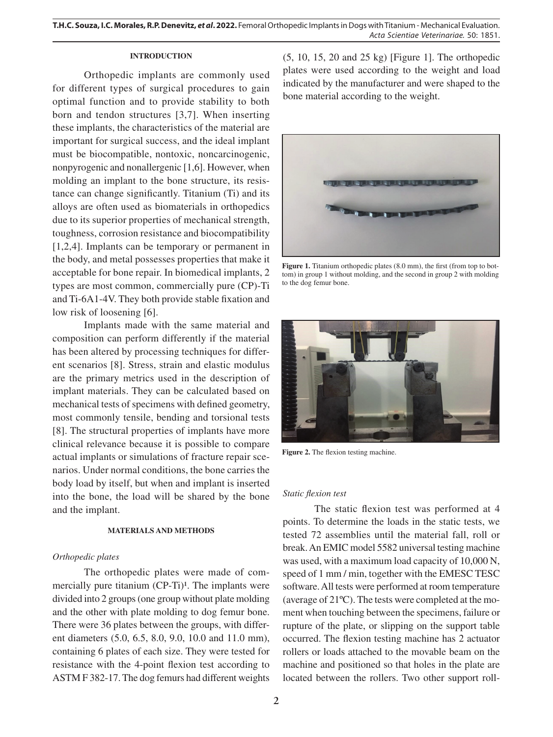## **INTRODUCTION**

Orthopedic implants are commonly used for different types of surgical procedures to gain optimal function and to provide stability to both born and tendon structures [3,7]. When inserting these implants, the characteristics of the material are important for surgical success, and the ideal implant must be biocompatible, nontoxic, noncarcinogenic, nonpyrogenic and nonallergenic [1,6]. However, when molding an implant to the bone structure, its resistance can change significantly. Titanium (Ti) and its alloys are often used as biomaterials in orthopedics due to its superior properties of mechanical strength, toughness, corrosion resistance and biocompatibility [1,2,4]. Implants can be temporary or permanent in the body, and metal possesses properties that make it acceptable for bone repair. In biomedical implants, 2 types are most common, commercially pure (CP)-Ti and Ti-6A1-4V. They both provide stable fixation and low risk of loosening [6].

Implants made with the same material and composition can perform differently if the material has been altered by processing techniques for different scenarios [8]. Stress, strain and elastic modulus are the primary metrics used in the description of implant materials. They can be calculated based on mechanical tests of specimens with defined geometry, most commonly tensile, bending and torsional tests [8]. The structural properties of implants have more clinical relevance because it is possible to compare actual implants or simulations of fracture repair scenarios. Under normal conditions, the bone carries the body load by itself, but when and implant is inserted into the bone, the load will be shared by the bone and the implant.

### **MATERIALS AND METHODS**

### *Orthopedic plates*

The orthopedic plates were made of commercially pure titanium  $(CP-Ti)<sup>1</sup>$ . The implants were divided into 2 groups (one group without plate molding and the other with plate molding to dog femur bone. There were 36 plates between the groups, with different diameters (5.0, 6.5, 8.0, 9.0, 10.0 and 11.0 mm), containing 6 plates of each size. They were tested for resistance with the 4-point flexion test according to ASTM F 382-17. The dog femurs had different weights (5, 10, 15, 20 and 25 kg) [Figure 1]. The orthopedic plates were used according to the weight and load indicated by the manufacturer and were shaped to the bone material according to the weight.



Figure 1. Titanium orthopedic plates (8.0 mm), the first (from top to bottom) in group 1 without molding, and the second in group 2 with molding to the dog femur bone.



**Figure 2.** The flexion testing machine.

### *Static flexion test*

The static flexion test was performed at 4 points. To determine the loads in the static tests, we tested 72 assemblies until the material fall, roll or break. An EMIC model 5582 universal testing machine was used, with a maximum load capacity of 10,000 N, speed of 1 mm / min, together with the EMESC TESC software. All tests were performed at room temperature (average of 21ºC). The tests were completed at the moment when touching between the specimens, failure or rupture of the plate, or slipping on the support table occurred. The flexion testing machine has 2 actuator rollers or loads attached to the movable beam on the machine and positioned so that holes in the plate are located between the rollers. Two other support roll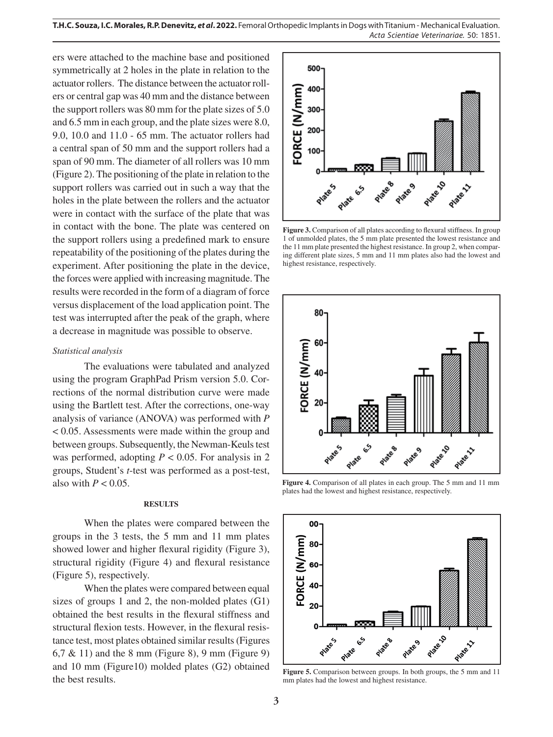**T.H.C. Souza, I.C. Morales, R.P. Denevitz,** *et al***. 2022.** Femoral Orthopedic Implants in Dogs with Titanium - Mechanical Evaluation. *Acta Scientiae Veterinariae*. 50: 1851.

ers were attached to the machine base and positioned symmetrically at 2 holes in the plate in relation to the actuator rollers. The distance between the actuator rollers or central gap was 40 mm and the distance between the support rollers was 80 mm for the plate sizes of 5.0 and 6.5 mm in each group, and the plate sizes were 8.0, 9.0, 10.0 and 11.0 - 65 mm. The actuator rollers had a central span of 50 mm and the support rollers had a span of 90 mm. The diameter of all rollers was 10 mm (Figure 2). The positioning of the plate in relation to the support rollers was carried out in such a way that the holes in the plate between the rollers and the actuator were in contact with the surface of the plate that was in contact with the bone. The plate was centered on the support rollers using a predefined mark to ensure repeatability of the positioning of the plates during the experiment. After positioning the plate in the device, the forces were applied with increasing magnitude. The results were recorded in the form of a diagram of force versus displacement of the load application point. The test was interrupted after the peak of the graph, where a decrease in magnitude was possible to observe.

#### *Statistical analysis*

The evaluations were tabulated and analyzed using the program GraphPad Prism version 5.0. Corrections of the normal distribution curve were made using the Bartlett test. After the corrections, one-way analysis of variance (ANOVA) was performed with *P*  < 0.05. Assessments were made within the group and between groups. Subsequently, the Newman-Keuls test was performed, adopting  $P < 0.05$ . For analysis in 2 groups, Student's *t*-test was performed as a post-test, also with  $P < 0.05$ .

#### **RESULTS**

When the plates were compared between the groups in the 3 tests, the 5 mm and 11 mm plates showed lower and higher flexural rigidity (Figure 3), structural rigidity (Figure 4) and flexural resistance (Figure 5), respectively.

When the plates were compared between equal sizes of groups 1 and 2, the non-molded plates (G1) obtained the best results in the flexural stiffness and structural flexion tests. However, in the flexural resistance test, most plates obtained similar results (Figures 6,7 & 11) and the 8 mm (Figure 8), 9 mm (Figure 9) and 10 mm (Figure10) molded plates (G2) obtained the best results.



**Figure 3.** Comparison of all plates according to flexural stiffness. In group 1 of unmolded plates, the 5 mm plate presented the lowest resistance and the 11 mm plate presented the highest resistance. In group 2, when comparing different plate sizes, 5 mm and 11 mm plates also had the lowest and highest resistance, respectively.



**Figure 4.** Comparison of all plates in each group. The 5 mm and 11 mm plates had the lowest and highest resistance, respectively.



**Figure 5.** Comparison between groups. In both groups, the 5 mm and 11 mm plates had the lowest and highest resistance.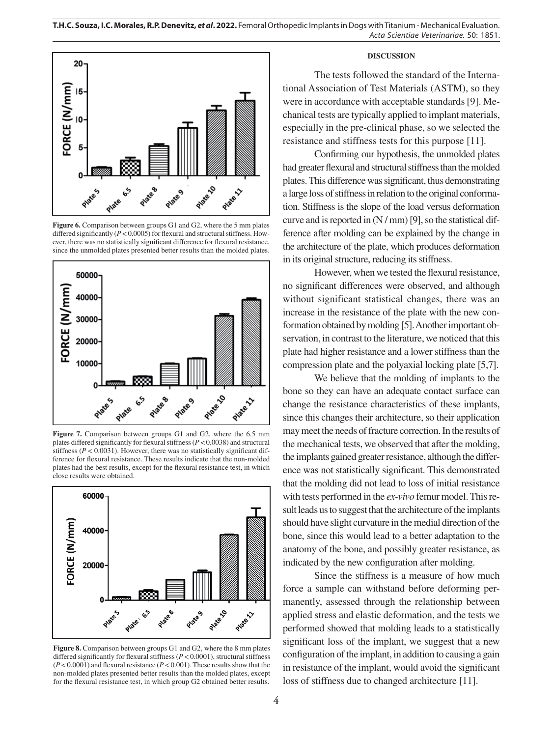**T.H.C. Souza, I.C. Morales, R.P. Denevitz,** *et al***. 2022.** Femoral Orthopedic Implants in Dogs with Titanium - Mechanical Evaluation. *Acta Scientiae Veterinariae*. 50: 1851.



Figure 6. Comparison between groups G1 and G2, where the 5 mm plates differed significantly  $(P < 0.0005)$  for flexural and structural stiffness. However, there was no statistically significant difference for flexural resistance, since the unmolded plates presented better results than the molded plates.



**Figure 7.** Comparison between groups G1 and G2, where the 6.5 mm plates differed significantly for flexural stiffness (*P* < 0.0038) and structural stiffness ( $P < 0.0031$ ). However, there was no statistically significant difference for flexural resistance. These results indicate that the non-molded plates had the best results, except for the flexural resistance test, in which close results were obtained.



**Figure 8.** Comparison between groups G1 and G2, where the 8 mm plates differed significantly for flexural stiffness (*P* < 0.0001), structural stiffness (*P* < 0.0001) and flexural resistance (*P* < 0.001). These results show that the non-molded plates presented better results than the molded plates, except for the flexural resistance test, in which group G2 obtained better results.

#### **DISCUSSION**

The tests followed the standard of the International Association of Test Materials (ASTM), so they were in accordance with acceptable standards [9]. Mechanical tests are typically applied to implant materials, especially in the pre-clinical phase, so we selected the resistance and stiffness tests for this purpose [11].

Confirming our hypothesis, the unmolded plates had greater flexural and structural stiffness than the molded plates. This difference was significant, thus demonstrating a large loss of stiffness in relation to the original conformation. Stiffness is the slope of the load versus deformation curve and is reported in (N / mm) [9], so the statistical difference after molding can be explained by the change in the architecture of the plate, which produces deformation in its original structure, reducing its stiffness.

However, when we tested the flexural resistance, no significant differences were observed, and although without significant statistical changes, there was an increase in the resistance of the plate with the new conformation obtained by molding [5]. Another important observation, in contrast to the literature, we noticed that this plate had higher resistance and a lower stiffness than the compression plate and the polyaxial locking plate [5,7].

We believe that the molding of implants to the bone so they can have an adequate contact surface can change the resistance characteristics of these implants, since this changes their architecture, so their application may meet the needs of fracture correction. In the results of the mechanical tests, we observed that after the molding, the implants gained greater resistance, although the difference was not statistically significant. This demonstrated that the molding did not lead to loss of initial resistance with tests performed in the *ex-vivo* femur model. This result leads us to suggest that the architecture of the implants should have slight curvature in the medial direction of the bone, since this would lead to a better adaptation to the anatomy of the bone, and possibly greater resistance, as indicated by the new configuration after molding.

Since the stiffness is a measure of how much force a sample can withstand before deforming permanently, assessed through the relationship between applied stress and elastic deformation, and the tests we performed showed that molding leads to a statistically significant loss of the implant, we suggest that a new configuration of the implant, in addition to causing a gain in resistance of the implant, would avoid the significant loss of stiffness due to changed architecture [11].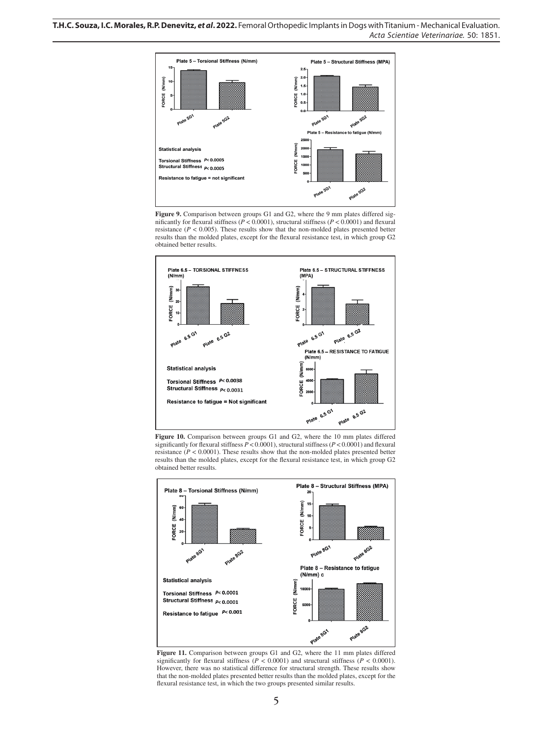

Figure 9. Comparison between groups G1 and G2, where the 9 mm plates differed significantly for flexural stiffness (*P* < 0.0001), structural stiffness (*P* < 0.0001) and flexural resistance  $(P < 0.005)$ . These results show that the non-molded plates presented better results than the molded plates, except for the flexural resistance test, in which group G2 obtained better results.



**Figure 10.** Comparison between groups G1 and G2, where the 10 mm plates differed significantly for flexural stiffness  $P < 0.0001$ ), structural stiffness ( $P < 0.0001$ ) and flexural resistance  $(P < 0.0001)$ . These results show that the non-molded plates presented better results than the molded plates, except for the flexural resistance test, in which group G2 obtained better results.



**Figure 11.** Comparison between groups G1 and G2, where the 11 mm plates differed significantly for flexural stiffness ( $P \le 0.0001$ ) and structural stiffness ( $P \le 0.0001$ ). However, there was no statistical difference for structural strength. These results show that the non-molded plates presented better results than the molded plates, except for the flexural resistance test, in which the two groups presented similar results.